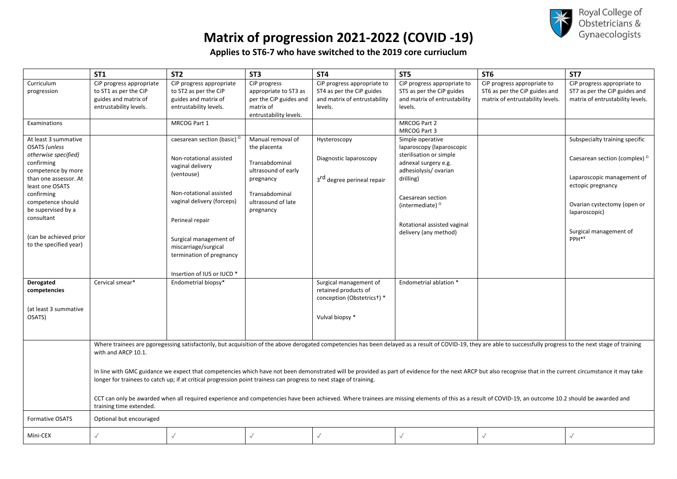

# **Matrix of progression 2021-2022 (COVID -19)**

**Applies to ST6-7 who have switched to the 2019 core curriuclum**

| <b>ST1</b>                                       | ST <sub>2</sub>                                                                                                                                                                                      |                                                  | ST <sub>3</sub>                                 | ST <sub>4</sub>                                           | ST <sub>5</sub>                                      | ST <sub>6</sub>                                                                                                                                                                                                    | ST7                                                               |  |  |
|--------------------------------------------------|------------------------------------------------------------------------------------------------------------------------------------------------------------------------------------------------------|--------------------------------------------------|-------------------------------------------------|-----------------------------------------------------------|------------------------------------------------------|--------------------------------------------------------------------------------------------------------------------------------------------------------------------------------------------------------------------|-------------------------------------------------------------------|--|--|
| Curriculum                                       | CiP progress appropriate                                                                                                                                                                             | CiP progress appropriate                         | CiP progress                                    | CiP progress appropriate to                               | CiP progress appropriate to                          | CiP progress appropriate to                                                                                                                                                                                        | CiP progress appropriate to                                       |  |  |
| to ST1 as per the CiP<br>progression             |                                                                                                                                                                                                      | to ST2 as per the CiP                            | appropriate to ST3 as<br>per the CiP guides and | ST4 as per the CiP guides<br>and matrix of entrustability | ST5 as per the CiP guides                            | ST6 as per the CiP guides and                                                                                                                                                                                      | ST7 as per the CiP guides and<br>matrix of entrustability levels. |  |  |
| guides and matrix of<br>entrustability levels.   |                                                                                                                                                                                                      | guides and matrix of<br>entrustability levels.   | matrix of                                       | levels.                                                   | and matrix of entrustability<br>levels.              | matrix of entrustability levels.                                                                                                                                                                                   |                                                                   |  |  |
|                                                  |                                                                                                                                                                                                      |                                                  | entrustability levels.                          |                                                           |                                                      |                                                                                                                                                                                                                    |                                                                   |  |  |
| Examinations                                     |                                                                                                                                                                                                      | MRCOG Part 1                                     |                                                 |                                                           | MRCOG Part 2                                         |                                                                                                                                                                                                                    |                                                                   |  |  |
|                                                  |                                                                                                                                                                                                      |                                                  |                                                 |                                                           | MRCOG Part 3                                         |                                                                                                                                                                                                                    |                                                                   |  |  |
| At least 3 summative                             |                                                                                                                                                                                                      | caesarean section (basic) $^{\Omega}$            | Manual removal of                               | Hysteroscopy                                              | Simple operative                                     |                                                                                                                                                                                                                    | Subspecialty training specific                                    |  |  |
| OSATS (unless<br>otherwise specified)            |                                                                                                                                                                                                      |                                                  | the placenta                                    |                                                           | laparoscopy (laparoscopic<br>sterilisation or simple |                                                                                                                                                                                                                    |                                                                   |  |  |
| confirming                                       |                                                                                                                                                                                                      | Non-rotational assisted                          | Transabdominal                                  | Diagnostic laparoscopy                                    | adnexal surgery e.g.                                 |                                                                                                                                                                                                                    | Caesarean section (complex) <sup>0</sup>                          |  |  |
| competence by more                               |                                                                                                                                                                                                      | vaginal delivery                                 | ultrasound of early                             |                                                           | adhesiolysis/ovarian                                 |                                                                                                                                                                                                                    |                                                                   |  |  |
| than one assessor. At                            |                                                                                                                                                                                                      | (ventouse)                                       | pregnancy                                       | 3 <sup>rd</sup> degree perineal repair                    | drilling)                                            |                                                                                                                                                                                                                    | Laparoscopic management of                                        |  |  |
| least one OSATS                                  |                                                                                                                                                                                                      |                                                  |                                                 |                                                           |                                                      |                                                                                                                                                                                                                    | ectopic pregnancy                                                 |  |  |
| confirming                                       |                                                                                                                                                                                                      | Non-rotational assisted                          | Transabdominal                                  |                                                           | Caesarean section                                    |                                                                                                                                                                                                                    |                                                                   |  |  |
| competence should                                |                                                                                                                                                                                                      | vaginal delivery (forceps)                       | ultrasound of late                              |                                                           | (intermediate) $^{\Omega}$                           |                                                                                                                                                                                                                    | Ovarian cystectomy (open or                                       |  |  |
| be supervised by a<br>consultant                 |                                                                                                                                                                                                      |                                                  | pregnancy                                       |                                                           |                                                      |                                                                                                                                                                                                                    | laparoscopic)                                                     |  |  |
|                                                  |                                                                                                                                                                                                      | Perineal repair                                  |                                                 |                                                           | Rotational assisted vaginal                          |                                                                                                                                                                                                                    |                                                                   |  |  |
|                                                  |                                                                                                                                                                                                      |                                                  |                                                 |                                                           | delivery (any method)                                |                                                                                                                                                                                                                    | Surgical management of                                            |  |  |
| (can be achieved prior<br>to the specified year) |                                                                                                                                                                                                      | Surgical management of                           |                                                 |                                                           |                                                      |                                                                                                                                                                                                                    | PPH <sup>**</sup>                                                 |  |  |
|                                                  |                                                                                                                                                                                                      | miscarriage/surgical<br>termination of pregnancy |                                                 |                                                           |                                                      |                                                                                                                                                                                                                    |                                                                   |  |  |
|                                                  |                                                                                                                                                                                                      |                                                  |                                                 |                                                           |                                                      |                                                                                                                                                                                                                    |                                                                   |  |  |
|                                                  |                                                                                                                                                                                                      | Insertion of IUS or IUCD *                       |                                                 |                                                           |                                                      |                                                                                                                                                                                                                    |                                                                   |  |  |
| Derogated<br>Cervical smear*                     |                                                                                                                                                                                                      | Endometrial biopsy*                              |                                                 | Surgical management of                                    | Endometrial ablation *                               |                                                                                                                                                                                                                    |                                                                   |  |  |
| competencies                                     |                                                                                                                                                                                                      |                                                  |                                                 | retained products of                                      |                                                      |                                                                                                                                                                                                                    |                                                                   |  |  |
|                                                  |                                                                                                                                                                                                      |                                                  |                                                 | conception (Obstetrics+) *                                |                                                      |                                                                                                                                                                                                                    |                                                                   |  |  |
| (at least 3 summative                            |                                                                                                                                                                                                      |                                                  |                                                 |                                                           |                                                      |                                                                                                                                                                                                                    |                                                                   |  |  |
| OSATS)                                           |                                                                                                                                                                                                      |                                                  |                                                 | Vulval biopsy *                                           |                                                      |                                                                                                                                                                                                                    |                                                                   |  |  |
|                                                  |                                                                                                                                                                                                      |                                                  |                                                 |                                                           |                                                      |                                                                                                                                                                                                                    |                                                                   |  |  |
|                                                  |                                                                                                                                                                                                      |                                                  |                                                 |                                                           |                                                      |                                                                                                                                                                                                                    |                                                                   |  |  |
|                                                  |                                                                                                                                                                                                      |                                                  |                                                 |                                                           |                                                      | Where trainees are pgoregessing satisfactorily, but acquisition of the above derogated competencies has been delayed as a result of COVID-19, they are able to successfully progress to the next stage of training |                                                                   |  |  |
|                                                  | with and ARCP 10.1.                                                                                                                                                                                  |                                                  |                                                 |                                                           |                                                      |                                                                                                                                                                                                                    |                                                                   |  |  |
|                                                  |                                                                                                                                                                                                      |                                                  |                                                 |                                                           |                                                      |                                                                                                                                                                                                                    |                                                                   |  |  |
|                                                  |                                                                                                                                                                                                      |                                                  |                                                 |                                                           |                                                      | In line with GMC guidance we expect that competencies which have not been demonstrated will be provided as part of evidence for the next ARCP but also recognise that in the current circumstance it may take      |                                                                   |  |  |
|                                                  | longer for trainees to catch up; if at critical progression point trainess can progress to next stage of training.                                                                                   |                                                  |                                                 |                                                           |                                                      |                                                                                                                                                                                                                    |                                                                   |  |  |
|                                                  |                                                                                                                                                                                                      |                                                  |                                                 |                                                           |                                                      |                                                                                                                                                                                                                    |                                                                   |  |  |
|                                                  | CCT can only be awarded when all required experience and competencies have been achieved. Where trainees are missing elements of this as a result of COVID-19, an outcome 10.2 should be awarded and |                                                  |                                                 |                                                           |                                                      |                                                                                                                                                                                                                    |                                                                   |  |  |
|                                                  | training time extended.                                                                                                                                                                              |                                                  |                                                 |                                                           |                                                      |                                                                                                                                                                                                                    |                                                                   |  |  |
| <b>Formative OSATS</b>                           | Optional but encouraged                                                                                                                                                                              |                                                  |                                                 |                                                           |                                                      |                                                                                                                                                                                                                    |                                                                   |  |  |
|                                                  |                                                                                                                                                                                                      |                                                  |                                                 |                                                           |                                                      |                                                                                                                                                                                                                    |                                                                   |  |  |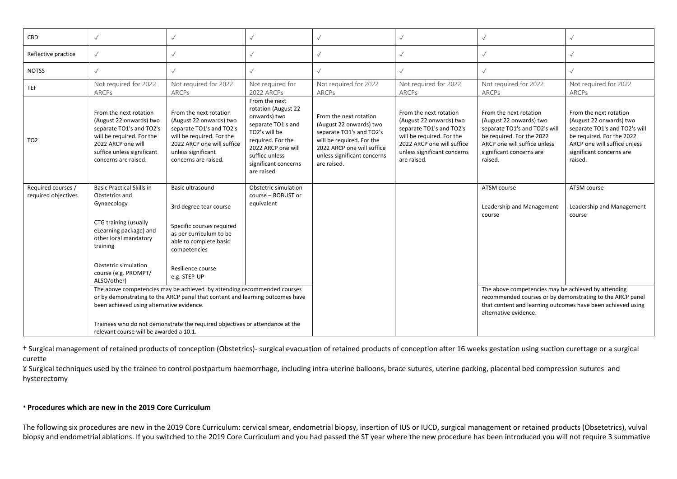| CBD                                       | $\checkmark$                                                                                                                                                                                                             |                                                                                                                                                                                                                                                                                                                                               |                                                                                                                                                                                                 |                                                                                                                                                                                        | $\checkmark$                                                                                                                                                                           | $\checkmark$                                                                                                                                                                           |                                                                                                                                                                                        |
|-------------------------------------------|--------------------------------------------------------------------------------------------------------------------------------------------------------------------------------------------------------------------------|-----------------------------------------------------------------------------------------------------------------------------------------------------------------------------------------------------------------------------------------------------------------------------------------------------------------------------------------------|-------------------------------------------------------------------------------------------------------------------------------------------------------------------------------------------------|----------------------------------------------------------------------------------------------------------------------------------------------------------------------------------------|----------------------------------------------------------------------------------------------------------------------------------------------------------------------------------------|----------------------------------------------------------------------------------------------------------------------------------------------------------------------------------------|----------------------------------------------------------------------------------------------------------------------------------------------------------------------------------------|
| Reflective practice                       | $\checkmark$                                                                                                                                                                                                             | $\checkmark$                                                                                                                                                                                                                                                                                                                                  |                                                                                                                                                                                                 |                                                                                                                                                                                        | $\sqrt{}$                                                                                                                                                                              | $\checkmark$                                                                                                                                                                           | $\sqrt{}$                                                                                                                                                                              |
| <b>NOTSS</b>                              | $\checkmark$                                                                                                                                                                                                             | $\checkmark$                                                                                                                                                                                                                                                                                                                                  | $\sqrt{}$                                                                                                                                                                                       |                                                                                                                                                                                        | $\checkmark$                                                                                                                                                                           | $\checkmark$                                                                                                                                                                           | $\checkmark$                                                                                                                                                                           |
| <b>TEF</b>                                | Not required for 2022<br><b>ARCPs</b>                                                                                                                                                                                    | Not required for 2022<br>ARCPs                                                                                                                                                                                                                                                                                                                | Not required for<br>2022 ARCPs                                                                                                                                                                  | Not required for 2022<br>ARCPs                                                                                                                                                         | Not required for 2022<br>ARCPs                                                                                                                                                         | Not required for 2022<br>ARCPs                                                                                                                                                         | Not required for 2022<br>ARCPs                                                                                                                                                         |
| TO <sub>2</sub>                           | From the next rotation<br>(August 22 onwards) two<br>separate TO1's and TO2's<br>will be required. For the<br>2022 ARCP one will<br>suffice unless significant<br>concerns are raised.                                   | From the next rotation<br>(August 22 onwards) two<br>separate TO1's and TO2's<br>will be required. For the<br>2022 ARCP one will suffice<br>unless significant<br>concerns are raised.                                                                                                                                                        | From the next<br>rotation (August 22<br>onwards) two<br>separate TO1's and<br>TO2's will be<br>required. For the<br>2022 ARCP one will<br>suffice unless<br>significant concerns<br>are raised. | From the next rotation<br>(August 22 onwards) two<br>separate TO1's and TO2's<br>will be required. For the<br>2022 ARCP one will suffice<br>unless significant concerns<br>are raised. | From the next rotation<br>(August 22 onwards) two<br>separate TO1's and TO2's<br>will be required. For the<br>2022 ARCP one will suffice<br>unless significant concerns<br>are raised. | From the next rotation<br>(August 22 onwards) two<br>separate TO1's and TO2's will<br>be required. For the 2022<br>ARCP one will suffice unless<br>significant concerns are<br>raised. | From the next rotation<br>(August 22 onwards) two<br>separate TO1's and TO2's will<br>be required. For the 2022<br>ARCP one will suffice unless<br>significant concerns are<br>raised. |
| Required courses /<br>required objectives | <b>Basic Practical Skills in</b><br>Obstetrics and<br>Gynaecology<br>CTG training (usually<br>eLearning package) and<br>other local mandatory<br>training<br>Obstetric simulation<br>course (e.g. PROMPT/<br>ALSO/other) | Basic ultrasound<br>3rd degree tear course<br>Specific courses required<br>as per curriculum to be<br>able to complete basic<br>competencies<br>Resilience course<br>e.g. STEP-UP<br>The above competencies may be achieved by attending recommended courses<br>or by demonstrating to the ARCP panel that content and learning outcomes have | Obstetric simulation<br>course - ROBUST or<br>equivalent                                                                                                                                        |                                                                                                                                                                                        |                                                                                                                                                                                        | ATSM course<br>Leadership and Management<br>course<br>The above competencies may be achieved by attending<br>recommended courses or by demonstrating to the ARCP panel                 | ATSM course<br>Leadership and Management<br>course                                                                                                                                     |
|                                           | been achieved using alternative evidence.<br>relevant course will be awarded a 10.1.                                                                                                                                     | Trainees who do not demonstrate the required objectives or attendance at the                                                                                                                                                                                                                                                                  |                                                                                                                                                                                                 |                                                                                                                                                                                        |                                                                                                                                                                                        | that content and learning outcomes have been achieved using<br>alternative evidence.                                                                                                   |                                                                                                                                                                                        |

† Surgical management of retained products of conception (Obstetrics)- surgical evacuation of retained products of conception after 16 weeks gestation using suction curettage or a surgical curette

¥ Surgical techniques used by the trainee to control postpartum haemorrhage, including intra-uterine balloons, brace sutures, uterine packing, placental bed compression sutures and hysterectomy

### \* **Procedures which are new in the 2019 Core Curriculum**

The following six procedures are new in the 2019 Core Curriculum: cervical smear, endometrial biopsy, insertion of IUS or IUCD, surgical management or retained products (Obsetetrics), vulval biopsy and endometrial ablations. If you switched to the 2019 Core Curriculum and you had passed the ST year where the new procedure has been introduced you will not require 3 summative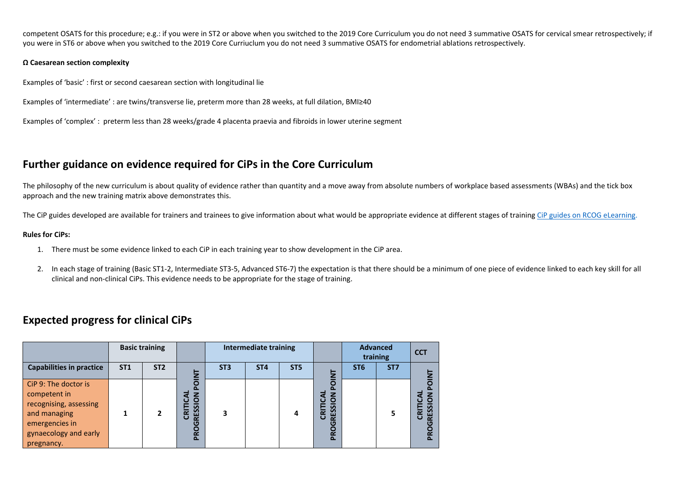competent OSATS for this procedure; e.g.: if you were in ST2 or above when you switched to the 2019 Core Curriculum you do not need 3 summative OSATS for cervical smear retrospectively; if you were in ST6 or above when you switched to the 2019 Core Curriuclum you do not need 3 summative OSATS for endometrial ablations retrospectively.

#### **Ω Caesarean section complexity**

Examples of 'basic' : first or second caesarean section with longitudinal lie

Examples of 'intermediate' : are twins/transverse lie, preterm more than 28 weeks, at full dilation, BMI≥40

Examples of 'complex' : preterm less than 28 weeks/grade 4 placenta praevia and fibroids in lower uterine segment

## **Further guidance on evidence required for CiPs in the Core Curriculum**

The philosophy of the new curriculum is about quality of evidence rather than quantity and a move away from absolute numbers of workplace based assessments (WBAs) and the tick box approach and the new training matrix above demonstrates this.

The CiP guides developed are available for trainers and trainees to give information about what would be appropriate evidence at different stages of training [CiP guides on RCOG eLearning.](https://elearning.rcog.org.uk/new-curriculum-2019-training-resource/curriculum-structure/core-curriculum)

#### **Rules for CiPs:**

- 1. There must be some evidence linked to each CiP in each training year to show development in the CiP area.
- 2. In each stage of training (Basic ST1-2, Intermediate ST3-5, Advanced ST6-7) the expectation is that there should be a minimum of one piece of evidence linked to each key skill for all clinical and non-clinical CiPs. This evidence needs to be appropriate for the stage of training.

## **Expected progress for clinical CiPs**

|                                                                                                                                         | <b>Basic training</b> |                 |                                                                 | <b>Intermediate training</b> |                 |                 |                                                                      | <b>Advanced</b><br>training |                 | <b>CCT</b>            |
|-----------------------------------------------------------------------------------------------------------------------------------------|-----------------------|-----------------|-----------------------------------------------------------------|------------------------------|-----------------|-----------------|----------------------------------------------------------------------|-----------------------------|-----------------|-----------------------|
| <b>Capabilities in practice</b>                                                                                                         | <b>ST1</b>            | ST <sub>2</sub> | Ξ                                                               | ST <sub>3</sub>              | ST <sub>4</sub> | ST <sub>5</sub> | Ξ                                                                    | ST <sub>6</sub>             | ST <sub>7</sub> |                       |
| CiP 9: The doctor is<br>competent in<br>recognising, assessing<br>and managing<br>emergencies in<br>gynaecology and early<br>pregnancy. |                       | $\overline{2}$  | O<br>SOI<br><b>RESSI</b><br>ᇎ<br>ū<br>ပ<br><b>Q</b><br>$\Delta$ |                              |                 |                 | O<br>39<br>ᄒ<br>ш<br>$\mathbf \omega$<br>$\alpha$<br>$\sigma$<br>PRO |                             | 5               | n<br>CRIT<br>n<br>نیز |